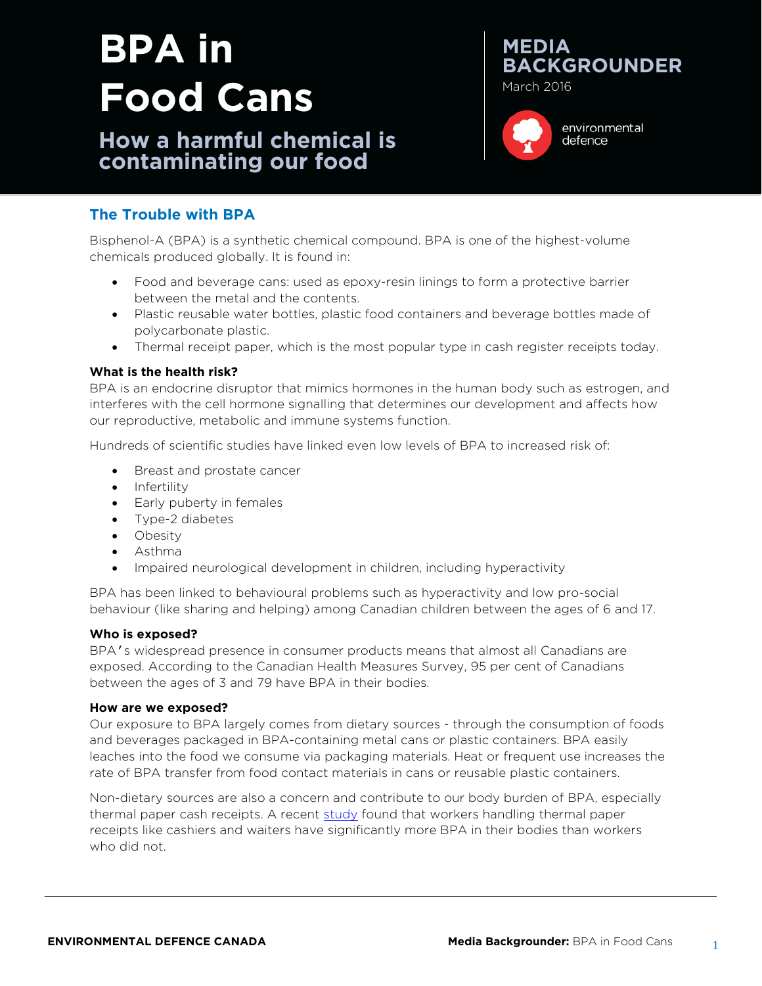# **BPA in Food Cans**

**How a harmful chemical is contaminating our food**





environmental defence

## **The Trouble with BPA**

Bisphenol-A (BPA) is a synthetic chemical compound. BPA is one of the highest-volume chemicals produced globally. It is found in:

- Food and beverage cans: used as epoxy-resin linings to form a protective barrier between the metal and the contents.
- Plastic reusable water bottles, plastic food containers and beverage bottles made of polycarbonate plastic.
- Thermal receipt paper, which is the most popular type in cash register receipts today.

#### **What is the health risk?**

BPA is an endocrine disruptor that mimics hormones in the human body such as estrogen, and interferes with the cell hormone signalling that determines our development and affects how our reproductive, metabolic and immune systems function.

Hundreds of scientific studies have linked even low levels of BPA to increased risk of:

- Breast and prostate cancer
- Infertility
- Early puberty in females
- Type-2 diabetes
- Obesity
- Asthma
- Impaired neurological development in children, including hyperactivity

BPA has been linked to behavioural problems such as hyperactivity and low pro-social behaviour (like sharing and helping) among Canadian children between the ages of 6 and 17.

#### **Who is exposed?**

BPA's widespread presence in consumer products means that almost all Canadians are exposed. According to the Canadian Health Measures Survey, 95 per cent of Canadians between the ages of 3 and 79 have BPA in their bodies.

#### **How are we exposed?**

Our exposure to BPA largely comes from dietary sources - through the consumption of foods and beverages packaged in BPA-containing metal cans or plastic containers. BPA easily leaches into the food we consume via packaging materials. Heat or frequent use increases the rate of BPA transfer from food contact materials in cans or reusable plastic containers.

Non-dietary sources are also a concern and contribute to our body burden of BPA, especially thermal paper cash receipts. A recent [study](https://chemicalwatch.com/44386/us-data-shows-higher-bpa-exposure-from-till-receipts) found that workers handling thermal paper receipts like cashiers and waiters have significantly more BPA in their bodies than workers who did not.